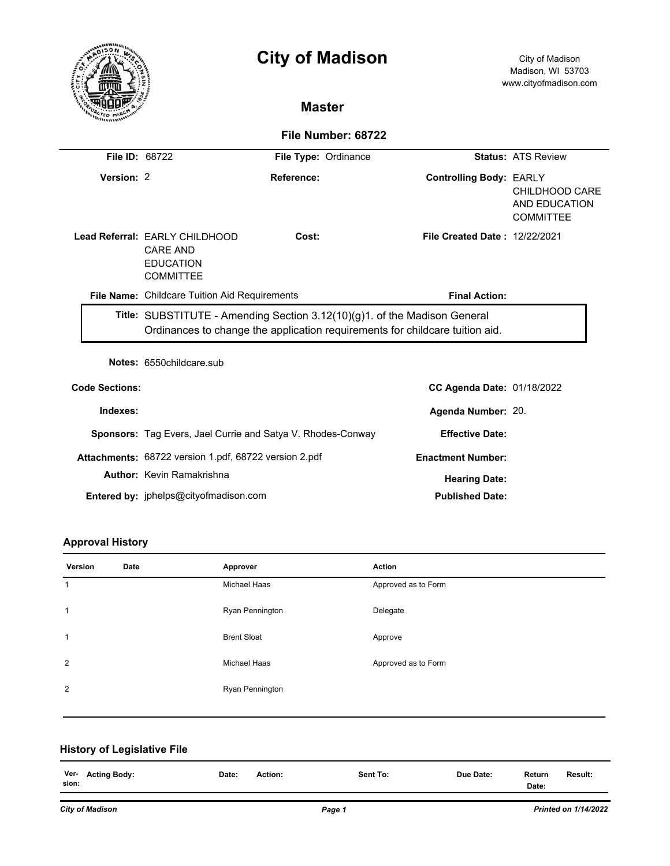|                       |                                                                                                                                                           | <b>City of Madison</b>                                      |                                | City of Madison<br>Madison, WI 53703<br>www.cityofmadison.com |  |  |  |  |
|-----------------------|-----------------------------------------------------------------------------------------------------------------------------------------------------------|-------------------------------------------------------------|--------------------------------|---------------------------------------------------------------|--|--|--|--|
|                       |                                                                                                                                                           | <b>Master</b>                                               |                                |                                                               |  |  |  |  |
|                       | File Number: 68722                                                                                                                                        |                                                             |                                |                                                               |  |  |  |  |
| File ID: 68722        |                                                                                                                                                           | File Type: Ordinance                                        |                                | <b>Status: ATS Review</b>                                     |  |  |  |  |
| Version: 2            |                                                                                                                                                           | Reference:                                                  | <b>Controlling Body: EARLY</b> | CHILDHOOD CARE<br>AND EDUCATION<br><b>COMMITTEE</b>           |  |  |  |  |
|                       | Lead Referral: EARLY CHILDHOOD<br><b>CARE AND</b><br><b>EDUCATION</b><br><b>COMMITTEE</b>                                                                 | Cost:                                                       | File Created Date: 12/22/2021  |                                                               |  |  |  |  |
|                       | File Name: Childcare Tuition Aid Requirements                                                                                                             |                                                             | <b>Final Action:</b>           |                                                               |  |  |  |  |
|                       | Title: SUBSTITUTE - Amending Section 3.12(10)(g)1. of the Madison General<br>Ordinances to change the application requirements for childcare tuition aid. |                                                             |                                |                                                               |  |  |  |  |
|                       | Notes: 6550childcare.sub                                                                                                                                  |                                                             |                                |                                                               |  |  |  |  |
| <b>Code Sections:</b> |                                                                                                                                                           |                                                             | CC Agenda Date: 01/18/2022     |                                                               |  |  |  |  |
| Indexes:              |                                                                                                                                                           |                                                             | Agenda Number: 20.             |                                                               |  |  |  |  |
|                       |                                                                                                                                                           | Sponsors: Tag Evers, Jael Currie and Satya V. Rhodes-Conway | <b>Effective Date:</b>         |                                                               |  |  |  |  |
|                       | Attachments: 68722 version 1.pdf, 68722 version 2.pdf                                                                                                     |                                                             | <b>Enactment Number:</b>       |                                                               |  |  |  |  |
|                       | <b>Author: Kevin Ramakrishna</b>                                                                                                                          |                                                             | <b>Hearing Date:</b>           |                                                               |  |  |  |  |
|                       | Entered by: jphelps@cityofmadison.com                                                                                                                     |                                                             | <b>Published Date:</b>         |                                                               |  |  |  |  |

# **Approval History**

| Version      | Date | Approver            | <b>Action</b>       |
|--------------|------|---------------------|---------------------|
| $\mathbf{1}$ |      | Michael Haas        | Approved as to Form |
| $\mathbf{1}$ |      | Ryan Pennington     | Delegate            |
| $\mathbf{1}$ |      | <b>Brent Sloat</b>  | Approve             |
| 2            |      | <b>Michael Haas</b> | Approved as to Form |
| 2            |      | Ryan Pennington     |                     |
|              |      |                     |                     |

# **History of Legislative File**

| Ver-<br>sion: | <b>Acting Body:</b> | Date: | Action:<br>. | Sent To:<br>_ _ _ | Due Date: | Return<br>.<br>Date:<br>. | <b>Result:</b><br>. |
|---------------|---------------------|-------|--------------|-------------------|-----------|---------------------------|---------------------|
|               |                     |       |              |                   |           |                           |                     |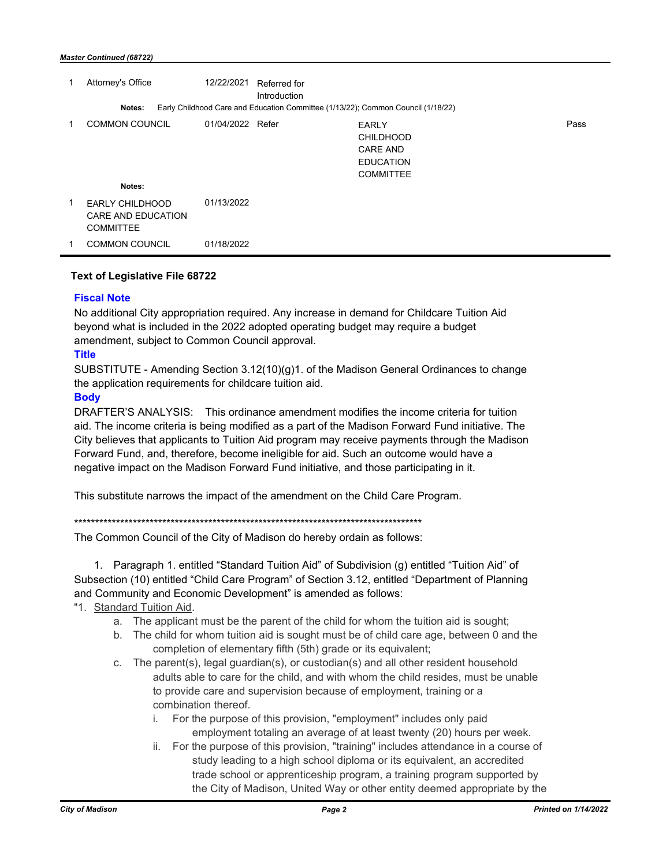|   | Attorney's Office                                                | 12/22/2021       | Referred for<br>Introduction |                                                                                             |      |
|---|------------------------------------------------------------------|------------------|------------------------------|---------------------------------------------------------------------------------------------|------|
|   | Notes:                                                           |                  |                              | Early Childhood Care and Education Committee (1/13/22); Common Council (1/18/22)            |      |
|   | <b>COMMON COUNCIL</b>                                            | 01/04/2022 Refer |                              | <b>EARLY</b><br><b>CHILDHOOD</b><br><b>CARE AND</b><br><b>EDUCATION</b><br><b>COMMITTEE</b> | Pass |
|   | Notes:                                                           |                  |                              |                                                                                             |      |
| 1 | <b>EARLY CHILDHOOD</b><br>CARE AND EDUCATION<br><b>COMMITTEE</b> | 01/13/2022       |                              |                                                                                             |      |
|   | <b>COMMON COUNCIL</b>                                            | 01/18/2022       |                              |                                                                                             |      |

#### **Text of Legislative File 68722**

### **Fiscal Note**

No additional City appropriation required. Any increase in demand for Childcare Tuition Aid beyond what is included in the 2022 adopted operating budget may require a budget amendment, subject to Common Council approval.

### **Title**

SUBSTITUTE - Amending Section 3.12(10)(g)1. of the Madison General Ordinances to change the application requirements for childcare tuition aid.

#### **Body**

DRAFTER'S ANALYSIS: This ordinance amendment modifies the income criteria for tuition aid. The income criteria is being modified as a part of the Madison Forward Fund initiative. The City believes that applicants to Tuition Aid program may receive payments through the Madison Forward Fund, and, therefore, become ineligible for aid. Such an outcome would have a negative impact on the Madison Forward Fund initiative, and those participating in it.

This substitute narrows the impact of the amendment on the Child Care Program.

\*\*\*\*\*\*\*\*\*\*\*\*\*\*\*\*\*\*\*\*\*\*\*\*\*\*\*\*\*\*\*\*\*\*\*\*\*\*\*\*\*\*\*\*\*\*\*\*\*\*\*\*\*\*\*\*\*\*\*\*\*\*\*\*\*\*\*\*\*\*\*\*\*\*\*\*\*\*\*\*\*\*\*

The Common Council of the City of Madison do hereby ordain as follows:

1. Paragraph 1. entitled "Standard Tuition Aid" of Subdivision (g) entitled "Tuition Aid" of Subsection (10) entitled "Child Care Program" of Section 3.12, entitled "Department of Planning and Community and Economic Development" is amended as follows:

- "1. Standard Tuition Aid.
	- a. The applicant must be the parent of the child for whom the tuition aid is sought;
	- b. The child for whom tuition aid is sought must be of child care age, between 0 and the completion of elementary fifth (5th) grade or its equivalent;
	- c. The parent(s), legal guardian(s), or custodian(s) and all other resident household adults able to care for the child, and with whom the child resides, must be unable to provide care and supervision because of employment, training or a combination thereof.
		- i. For the purpose of this provision, "employment" includes only paid employment totaling an average of at least twenty (20) hours per week.
		- ii. For the purpose of this provision, "training" includes attendance in a course of study leading to a high school diploma or its equivalent, an accredited trade school or apprenticeship program, a training program supported by the City of Madison, United Way or other entity deemed appropriate by the